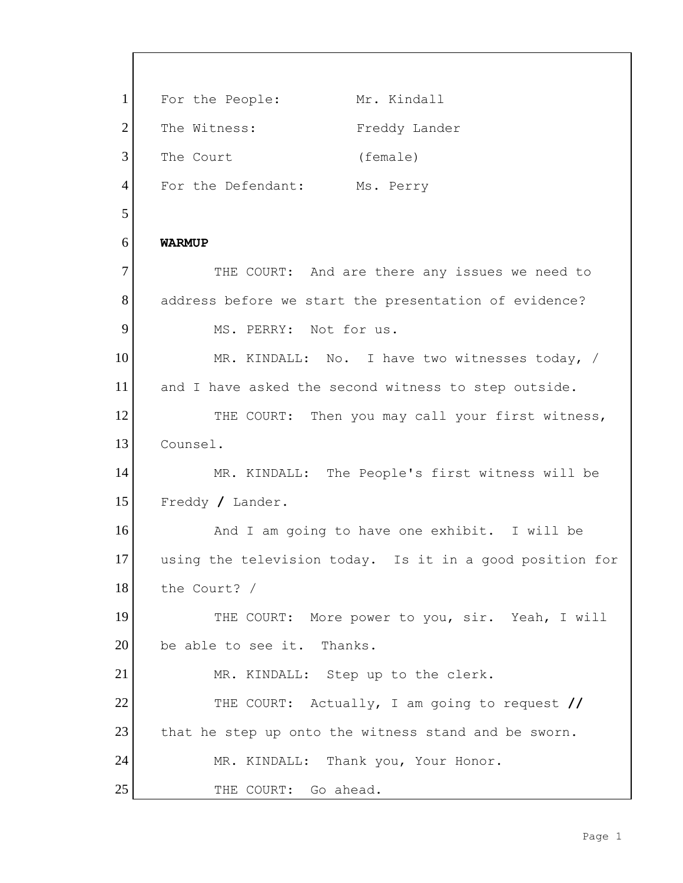1 For the People: Mr. Kindall 2 The Witness: Freddy Lander 3 The Court (female) 4 For the Defendant: Ms. Perry 5 6 **WARMUP** 7 THE COURT: And are there any issues we need to 8 address before we start the presentation of evidence? 9 MS. PERRY: Not for us. 10 MR. KINDALL: No. I have two witnesses today, / 11 and I have asked the second witness to step outside. 12 THE COURT: Then you may call your first witness, 13 Counsel. 14 MR. KINDALL: The People's first witness will be 15 Freddy **/** Lander. 16 And I am going to have one exhibit. I will be 17 using the television today. Is it in a good position for 18 the Court? / 19 THE COURT: More power to you, sir. Yeah, I will 20 be able to see it. Thanks. 21 MR. KINDALL: Step up to the clerk. 22 THE COURT: Actually, I am going to request **//** 23 that he step up onto the witness stand and be sworn. 24 MR. KINDALL: Thank you, Your Honor. 25 THE COURT: Go ahead.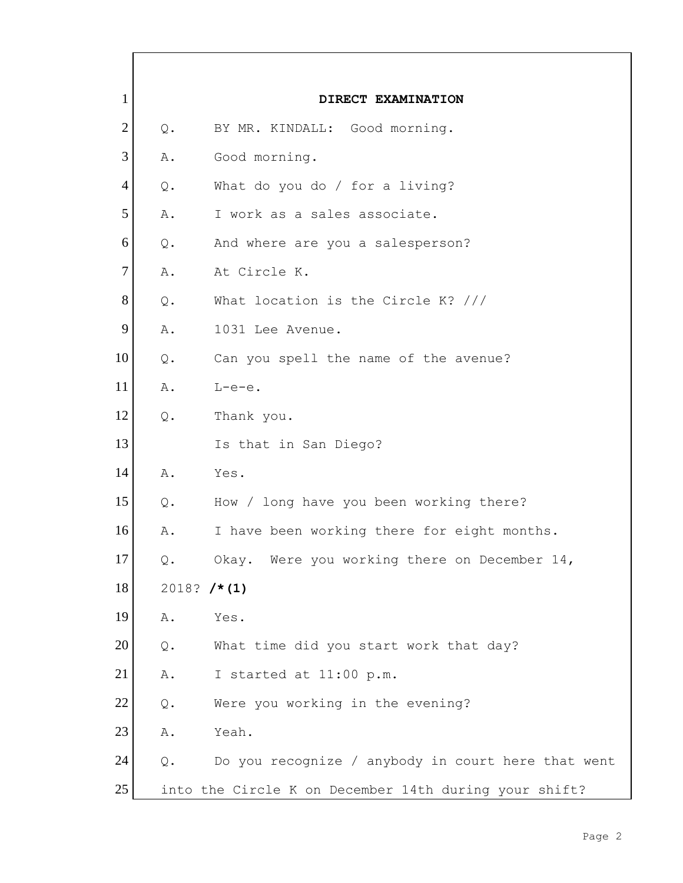| $\mathbf{1}$   |                | DIRECT EXAMINATION                                    |
|----------------|----------------|-------------------------------------------------------|
| $\overline{2}$ | $Q$ .          | BY MR. KINDALL: Good morning.                         |
| 3              | Α.             | Good morning.                                         |
| $\overline{4}$ | $Q$ .          | What do you do / for a living?                        |
| 5              | Α.             | I work as a sales associate.                          |
| 6              | $Q$ .          | And where are you a salesperson?                      |
| $\tau$         | Α.             | At Circle K.                                          |
| 8              | $Q$ .          | What location is the Circle K? ///                    |
| 9              | Α.             | 1031 Lee Avenue.                                      |
| 10             | $Q$ .          | Can you spell the name of the avenue?                 |
| 11             | Α.             | $L-e-e$ .                                             |
| 12             | $Q$ .          | Thank you.                                            |
| 13             |                | Is that in San Diego?                                 |
| 14             | Α.             | Yes.                                                  |
| 15             | $Q$ .          | How / long have you been working there?               |
| 16             | Α.             | I have been working there for eight months.           |
| 17             | Q.             | Okay. Were you working there on December 14,          |
| 18             | 2018? $/* (1)$ |                                                       |
| 19             | Α.             | Yes.                                                  |
| 20             | $Q$ .          | What time did you start work that day?                |
| 21             | Α.             | I started at 11:00 p.m.                               |
| 22             | $\mathsf{Q}$ . | Were you working in the evening?                      |
| 23             | Α.             | Yeah.                                                 |
| 24             | $Q$ .          | Do you recognize / anybody in court here that went    |
| 25             |                | into the Circle K on December 14th during your shift? |

 $\mathsf{r}$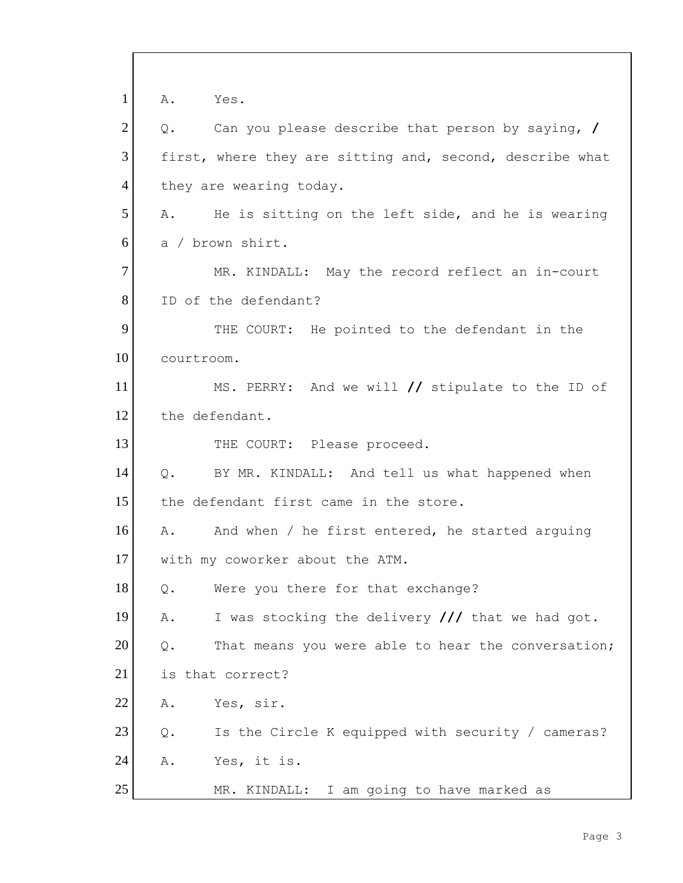| $\mathbf{1}$   | Yes.<br>Α.                                                      |
|----------------|-----------------------------------------------------------------|
| $\overline{2}$ | Can you please describe that person by saying, /<br>Q.          |
| 3              | first, where they are sitting and, second, describe what        |
| $\overline{4}$ | they are wearing today.                                         |
| 5              | He is sitting on the left side, and he is wearing<br>Α.         |
| 6              | a / brown shirt.                                                |
| 7              | MR. KINDALL: May the record reflect an in-court                 |
| 8              | ID of the defendant?                                            |
| 9              | THE COURT: He pointed to the defendant in the                   |
| 10             | courtroom.                                                      |
| 11             | MS. PERRY: And we will // stipulate to the ID of                |
| 12             | the defendant.                                                  |
| 13             | THE COURT: Please proceed.                                      |
| 14             | BY MR. KINDALL: And tell us what happened when<br>$Q_{\bullet}$ |
| 15             | the defendant first came in the store.                          |
| 16             | And when / he first entered, he started arguing<br>Α.           |
| 17             | with my coworker about the ATM.                                 |
| 18             | Were you there for that exchange?<br>Q.                         |
| 19             | I was stocking the delivery /// that we had got.<br>Α.          |
| 20             | That means you were able to hear the conversation;<br>$Q$ .     |
| 21             | is that correct?                                                |
| 22             | Yes, sir.<br>Α.                                                 |
| 23             | $Q$ .<br>Is the Circle K equipped with security / cameras?      |
| 24             | Α.<br>Yes, it is.                                               |
| 25             | MR. KINDALL: I am going to have marked as                       |

Г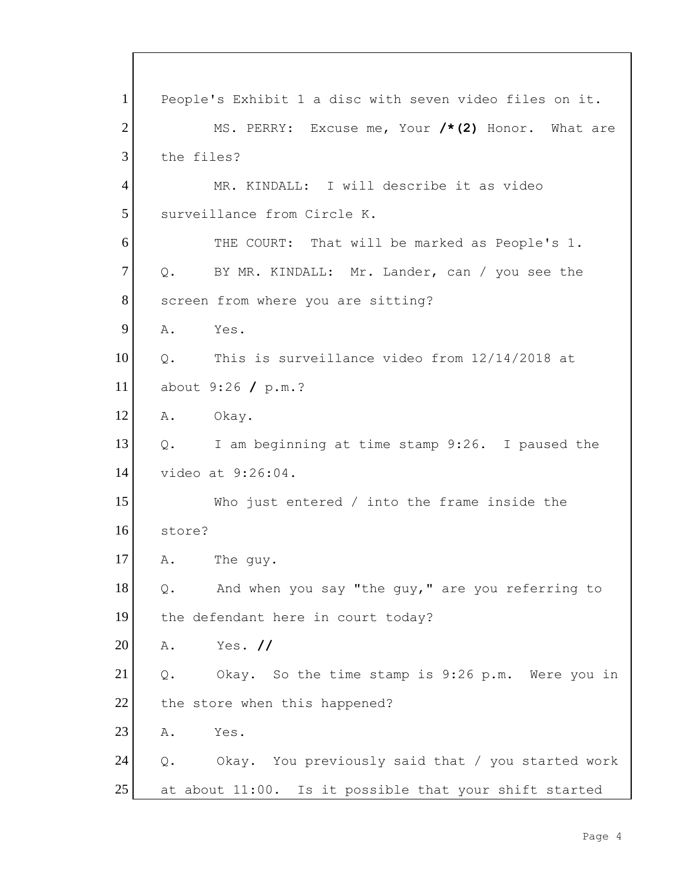| $\mathbf{1}$   | People's Exhibit 1 a disc with seven video files on it.  |
|----------------|----------------------------------------------------------|
| $\overline{2}$ | MS. PERRY: Excuse me, Your /*(2) Honor. What are         |
| 3              | the files?                                               |
| $\overline{4}$ | MR. KINDALL: I will describe it as video                 |
| 5              | surveillance from Circle K.                              |
| 6              | THE COURT: That will be marked as People's 1.            |
| $\tau$         | Q. BY MR. KINDALL: Mr. Lander, can / you see the         |
| 8              | screen from where you are sitting?                       |
| 9              | A.<br>Yes.                                               |
| 10             | This is surveillance video from 12/14/2018 at<br>$Q$ .   |
| 11             | about $9:26$ / p.m.?                                     |
| 12             | A.<br>Okay.                                              |
| 13             | I am beginning at time stamp 9:26. I paused the<br>$Q$ . |
| 14             | video at 9:26:04.                                        |
| 15             | Who just entered $/$ into the frame inside the           |
| 16             | store?                                                   |
| 17             | The guy.<br>Α.                                           |
| 18             | And when you say "the guy," are you referring to<br>Q.   |
| 19             | the defendant here in court today?                       |
| 20             | Yes. $\prime\prime$<br>Α.                                |
| 21             | Okay. So the time stamp is 9:26 p.m. Were you in<br>Q.   |
| 22             | the store when this happened?                            |
| 23             | Yes.<br>Α.                                               |
| 24             | Okay. You previously said that / you started work<br>Q.  |
| 25             | at about 11:00. Is it possible that your shift started   |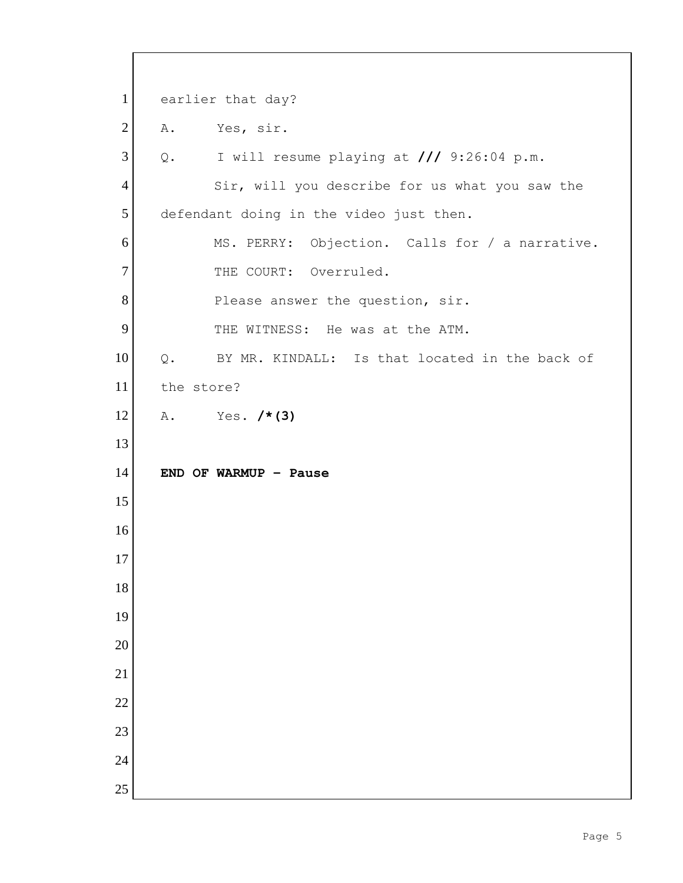1 earlier that day? 2 A. Yes, sir. Q. I will resume playing at **///** 9:26:04 p.m. 4 Sir, will you describe for us what you saw the 5 defendant doing in the video just then. MS. PERRY: Objection. Calls for / a narrative. 7 THE COURT: Overruled. 8 Please answer the question, sir. 9 THE WITNESS: He was at the ATM. 10 Q. BY MR. KINDALL: Is that located in the back of the store? A. Yes. **/\*(3) END OF WARMUP – Pause**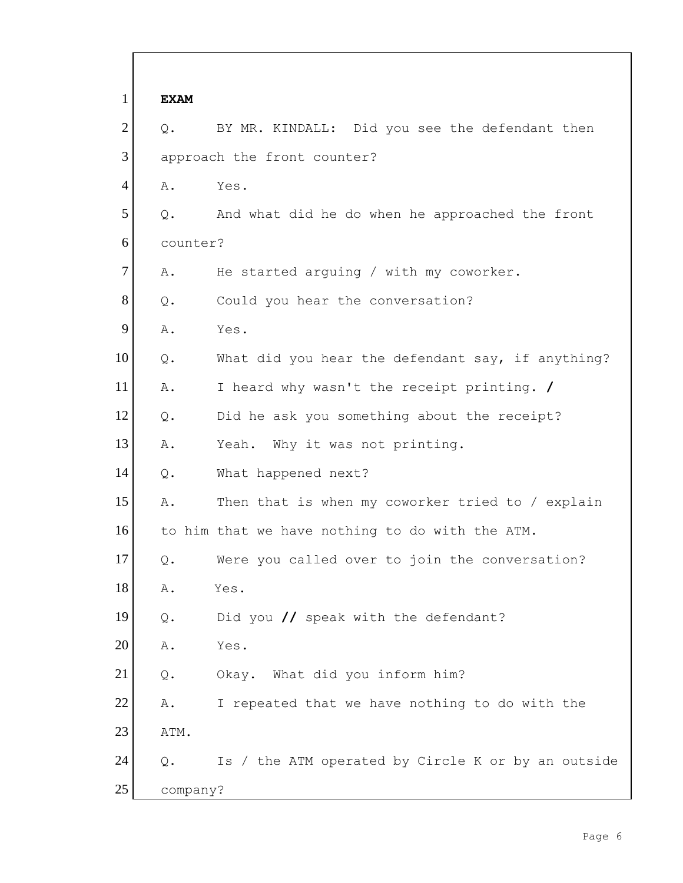| $\mathbf{1}$   | <b>EXAM</b>    |                                                    |
|----------------|----------------|----------------------------------------------------|
| $\overline{2}$ | $Q$ .          | BY MR. KINDALL: Did you see the defendant then     |
| 3              |                | approach the front counter?                        |
| $\overline{4}$ | Α.             | Yes.                                               |
| 5              | $Q$ .          | And what did he do when he approached the front    |
| 6              | counter?       |                                                    |
| 7              | Α.             | He started arguing / with my coworker.             |
| 8              | $Q$ .          | Could you hear the conversation?                   |
| 9              | Α.             | Yes.                                               |
| 10             | $Q$ .          | What did you hear the defendant say, if anything?  |
| 11             | Α.             | I heard why wasn't the receipt printing. /         |
| 12             | $Q$ .          | Did he ask you something about the receipt?        |
| 13             | Α.             | Yeah. Why it was not printing.                     |
| 14             | $Q$ .          | What happened next?                                |
| 15             | Α.             | Then that is when my coworker tried to / explain   |
| 16             |                | to him that we have nothing to do with the ATM.    |
| 17             | Q.             | Were you called over to join the conversation?     |
| 18             | Α.             | Yes.                                               |
| 19             | $\mathsf{Q}$ . | Did you $\prime\prime$ speak with the defendant?   |
| 20             | Α.             | Yes.                                               |
| 21             | $\mathsf{Q}$ . | Okay. What did you inform him?                     |
| 22             | Α.             | I repeated that we have nothing to do with the     |
| 23             | ATM.           |                                                    |
| 24             | Q.             | Is / the ATM operated by Circle K or by an outside |
| 25             | company?       |                                                    |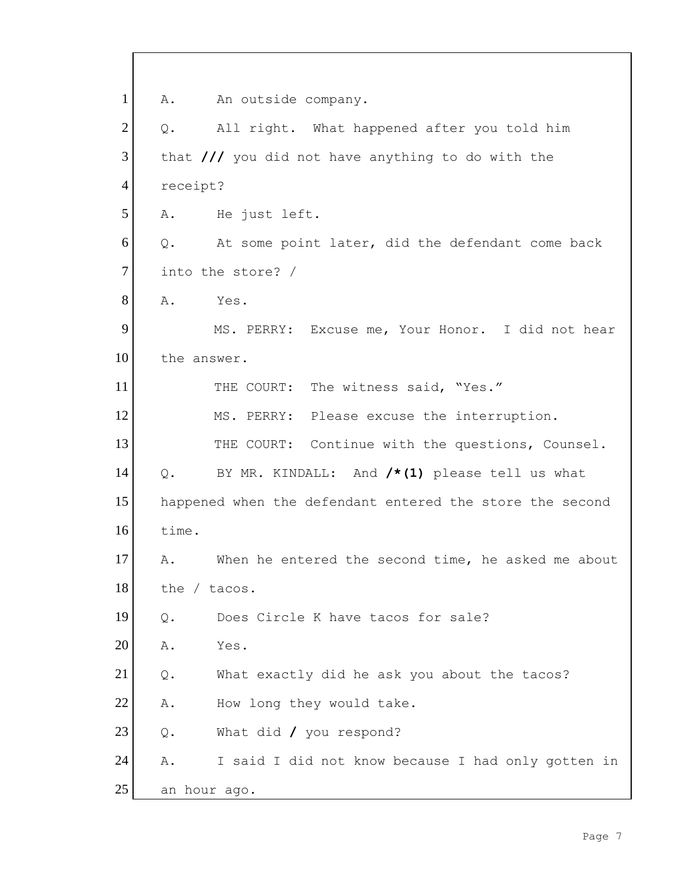1 A. An outside company. 2 | Q. All right. What happened after you told him 3 that **///** you did not have anything to do with the 4 receipt? 5 A. He just left. 6 Q. At some point later, did the defendant come back 7 into the store? / 8 A. Yes. 9 MS. PERRY: Excuse me, Your Honor. I did not hear 10 the answer. 11 THE COURT: The witness said, "Yes." 12 MS. PERRY: Please excuse the interruption. 13 THE COURT: Continue with the questions, Counsel. 14 Q. BY MR. KINDALL: And **/\*(1)** please tell us what 15 happened when the defendant entered the store the second 16 time. 17 A. When he entered the second time, he asked me about 18 the / tacos. 19 0. Does Circle K have tacos for sale? 20 A. Yes. 21 | Q. What exactly did he ask you about the tacos? 22 A. How long they would take. 23 Q. What did / you respond? 24 A. I said I did not know because I had only gotten in 25 an hour ago.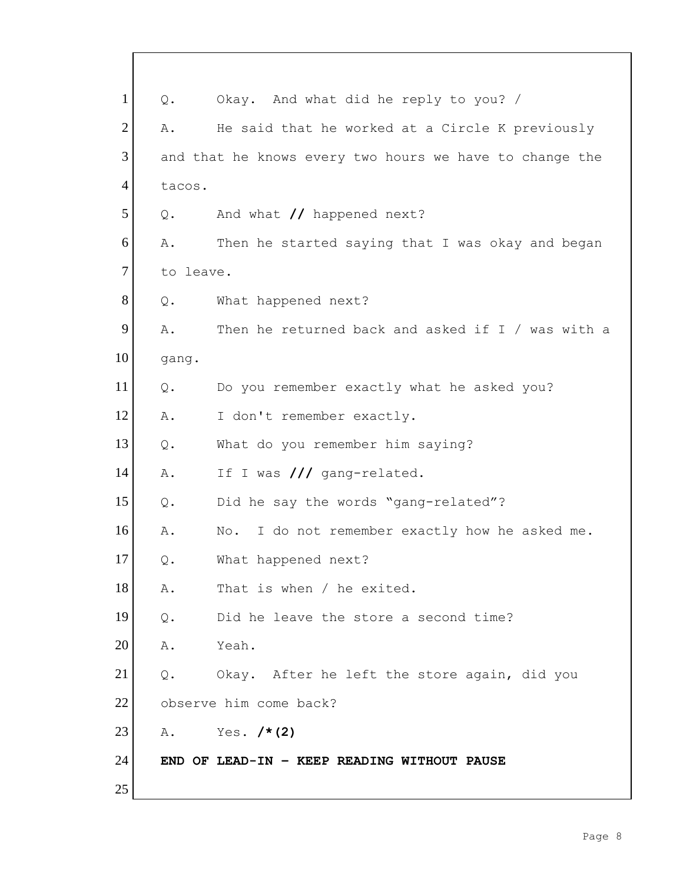| $\mathbf{1}$   | $Q$ .          | Okay. And what did he reply to you? /                   |
|----------------|----------------|---------------------------------------------------------|
| $\overline{2}$ | Α.             | He said that he worked at a Circle K previously         |
| 3              |                | and that he knows every two hours we have to change the |
| $\overline{4}$ | tacos.         |                                                         |
| 5              | Q.             | And what // happened next?                              |
| 6              | Α.             | Then he started saying that I was okay and began        |
| $\tau$         | to leave.      |                                                         |
| 8              | Q.             | What happened next?                                     |
| 9              | Α.             | Then he returned back and asked if I / was with a       |
| 10             | gang.          |                                                         |
| 11             | Q.             | Do you remember exactly what he asked you?              |
| 12             | Α.             | I don't remember exactly.                               |
| 13             | Q.             | What do you remember him saying?                        |
| 14             | Α.             | If I was /// gang-related.                              |
| 15             | $Q$ .          | Did he say the words "gang-related"?                    |
| 16             | Α.             | No. I do not remember exactly how he asked me.          |
| 17             | $\mathsf{Q}$ . | What happened next?                                     |
| 18             | Α.             | That is when / he exited.                               |
| 19             | $Q$ .          | Did he leave the store a second time?                   |
| 20             | Α.             | Yeah.                                                   |
| 21             | Q.             | Okay. After he left the store again, did you            |
| 22             |                | observe him come back?                                  |
| 23             | Α.             | Yes. $/* (2)$                                           |
| 24             |                | END OF LEAD-IN - KEEP READING WITHOUT PAUSE             |
| 25             |                |                                                         |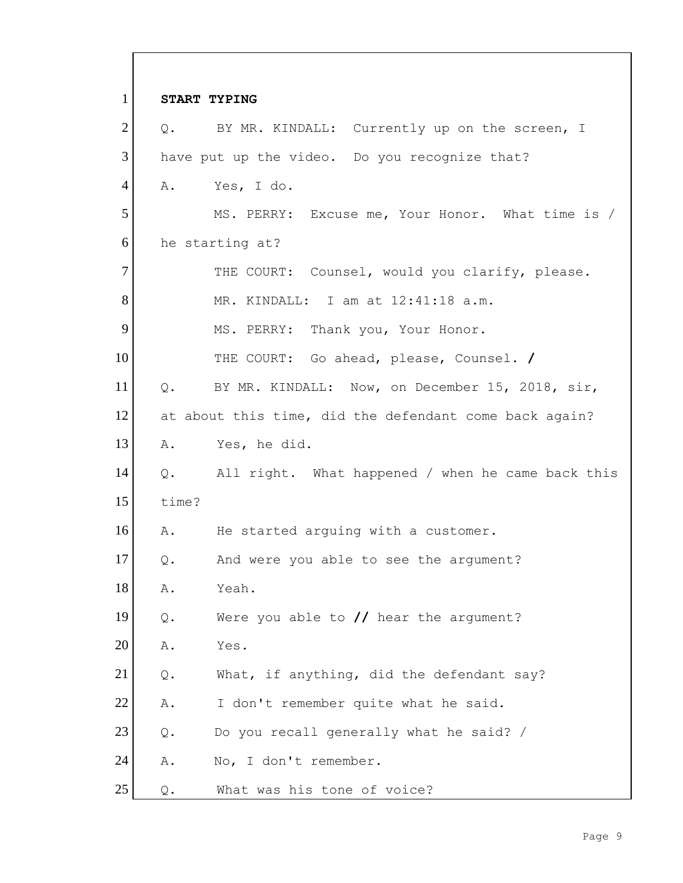| $\mathbf{1}$   |       | START TYPING                                           |
|----------------|-------|--------------------------------------------------------|
| $\overline{2}$ |       | Q. BY MR. KINDALL: Currently up on the screen, I       |
| 3              |       | have put up the video. Do you recognize that?          |
| $\overline{4}$ |       | A. Yes, I do.                                          |
| 5              |       | MS. PERRY: Excuse me, Your Honor. What time is /       |
| 6              |       | he starting at?                                        |
| $\overline{7}$ |       | THE COURT: Counsel, would you clarify, please.         |
| 8              |       | MR. KINDALL: I am at 12:41:18 a.m.                     |
| 9              |       | MS. PERRY: Thank you, Your Honor.                      |
| 10             |       | THE COURT: Go ahead, please, Counsel. /                |
| 11             | $Q$ . | BY MR. KINDALL: Now, on December 15, 2018, sir,        |
| 12             |       | at about this time, did the defendant come back again? |
| 13             | Α.    | Yes, he did.                                           |
| 14             |       | Q. All right. What happened / when he came back this   |
| 15             | time? |                                                        |
| 16             | A.    | He started arguing with a customer.                    |
| 17             | Q.    | And were you able to see the argument?                 |
| 18             | Α.    | Yeah.                                                  |
| 19             | $Q$ . | Were you able to $//$ hear the argument?               |
| 20             | Α.    | Yes.                                                   |
| 21             | $Q$ . | What, if anything, did the defendant say?              |
| 22             | Α.    | I don't remember quite what he said.                   |
| 23             | $Q$ . | Do you recall generally what he said? /                |
| 24             | Α.    | No, I don't remember.                                  |
| 25             | $Q$ . | What was his tone of voice?                            |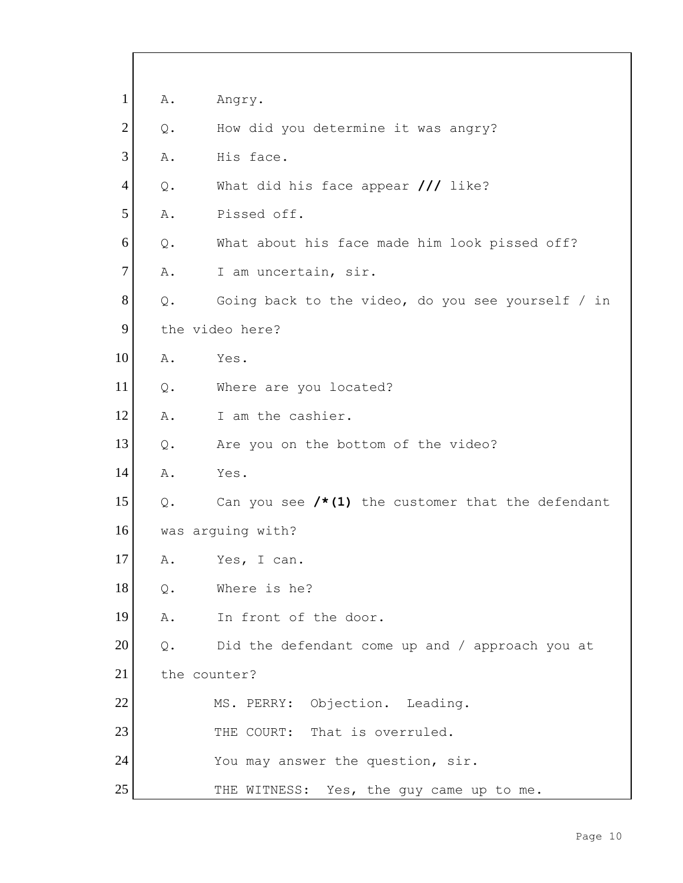| $\mathbf{1}$   | Α.    | Angry.                                               |
|----------------|-------|------------------------------------------------------|
| $\overline{2}$ | $Q$ . | How did you determine it was angry?                  |
| 3              | Α.    | His face.                                            |
| $\overline{4}$ | Q.    | What did his face appear $\frac{1}{1}$ like?         |
| 5              | Α.    | Pissed off.                                          |
| 6              | $Q$ . | What about his face made him look pissed off?        |
| $\overline{7}$ | Α.    | I am uncertain, sir.                                 |
| 8              | Q.    | Going back to the video, do you see yourself / in    |
| 9              |       | the video here?                                      |
| 10             | Α.    | Yes.                                                 |
| 11             | $Q$ . | Where are you located?                               |
| 12             | Α.    | I am the cashier.                                    |
| 13             | $Q$ . | Are you on the bottom of the video?                  |
| 14             | Α.    | Yes.                                                 |
| 15             | Q.    | Can you see $/* (1)$ the customer that the defendant |
| 16             |       | was arquing with?                                    |
| 17             | Α.    | Yes, I can.                                          |
| 18             | $Q$ . | Where is he?                                         |
| 19             | Α.    | In front of the door.                                |
| 20             | $Q$ . | Did the defendant come up and / approach you at      |
| 21             |       | the counter?                                         |
| 22             |       | MS. PERRY: Objection. Leading.                       |
| 23             |       | THE COURT: That is overruled.                        |
| 24             |       | You may answer the question, sir.                    |
| 25             |       | THE WITNESS: Yes, the guy came up to me.             |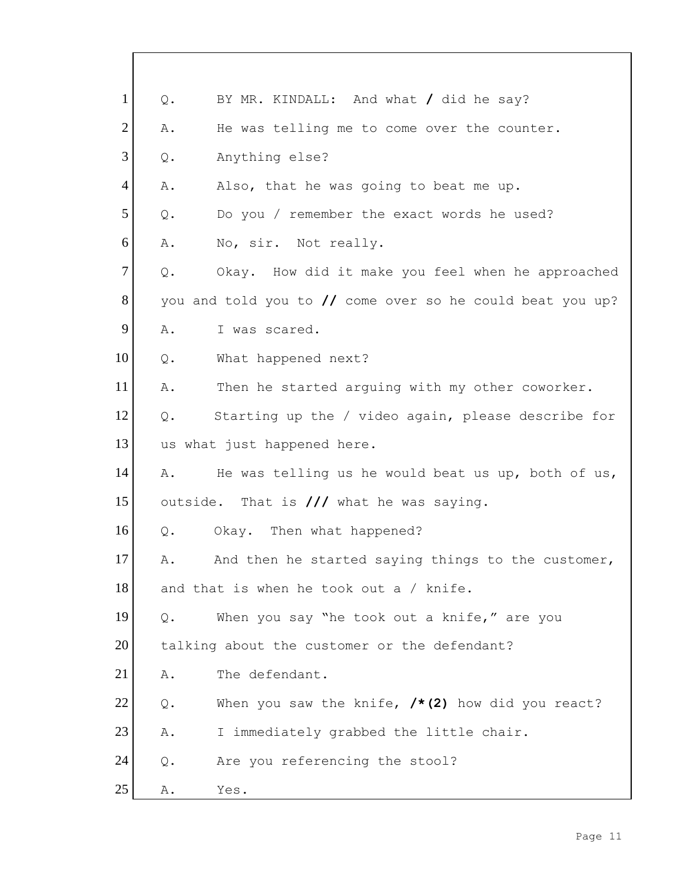| $\mathbf{1}$   | $Q$ .          | BY MR. KINDALL: And what / did he say?                    |
|----------------|----------------|-----------------------------------------------------------|
| $\overline{2}$ | Α.             | He was telling me to come over the counter.               |
| 3              | $Q$ .          | Anything else?                                            |
| $\overline{4}$ | Α.             | Also, that he was going to beat me up.                    |
| 5              | $Q$ .          | Do you / remember the exact words he used?                |
| 6              | Α.             | No, sir. Not really.                                      |
| $\tau$         | $Q$ .          | Okay. How did it make you feel when he approached         |
| 8              |                | you and told you to // come over so he could beat you up? |
| 9              | Α.             | I was scared.                                             |
| 10             | Q.             | What happened next?                                       |
| 11             | Α.             | Then he started arguing with my other coworker.           |
| 12             | $Q$ .          | Starting up the / video again, please describe for        |
| 13             |                | us what just happened here.                               |
| 14             | Α.             | He was telling us he would beat us up, both of us,        |
| 15             |                | outside. That is /// what he was saying.                  |
| 16             | Q.             | Okay. Then what happened?                                 |
| 17             | Α.             | And then he started saying things to the customer,        |
| 18             |                | and that is when he took out a / knife.                   |
| 19             | Q.             | When you say "he took out a knife," are you               |
| 20             |                | talking about the customer or the defendant?              |
| 21             | Α.             | The defendant.                                            |
| 22             | $\mathsf{Q}$ . | When you saw the knife, $/*(2)$ how did you react?        |
| 23             | Α.             | I immediately grabbed the little chair.                   |
| 24             | $Q$ .          | Are you referencing the stool?                            |
| 25             | Α.             | Yes.                                                      |

Г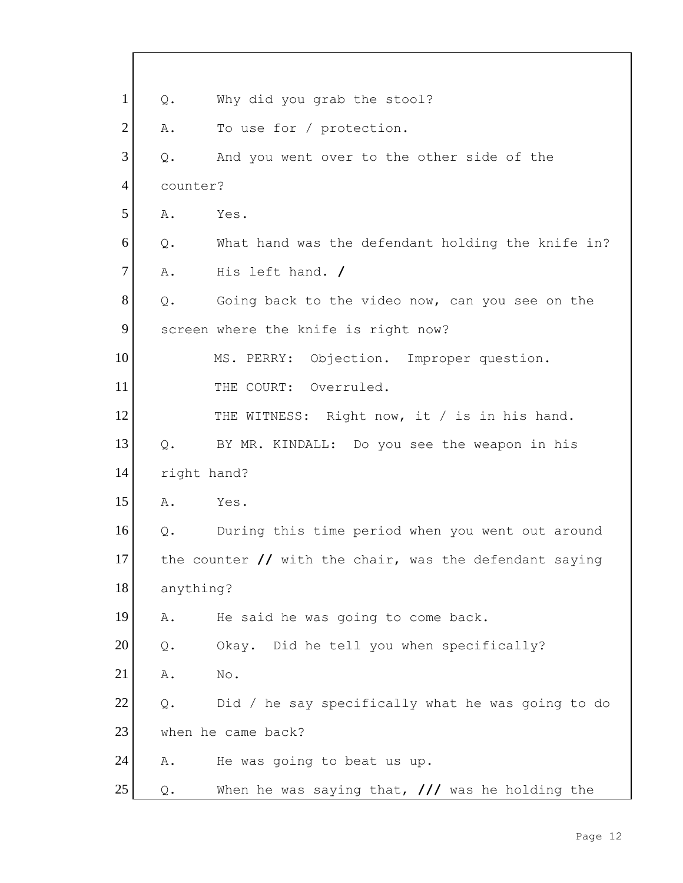| $\mathbf{1}$   | $Q$ .          | Why did you grab the stool?                                               |
|----------------|----------------|---------------------------------------------------------------------------|
| $\overline{2}$ | Α.             | To use for / protection.                                                  |
| 3              | $Q$ .          | And you went over to the other side of the                                |
| $\overline{4}$ | counter?       |                                                                           |
| 5              | Α.             | Yes.                                                                      |
| 6              | $Q$ .          | What hand was the defendant holding the knife in?                         |
| $\overline{7}$ | Α.             | His left hand. /                                                          |
| 8              | Q.             | Going back to the video now, can you see on the                           |
| 9              |                | screen where the knife is right now?                                      |
| 10             |                | MS. PERRY: Objection. Improper question.                                  |
| 11             |                | THE COURT: Overruled.                                                     |
| 12             |                | THE WITNESS: Right now, it / is in his hand.                              |
| 13             | Q.             | BY MR. KINDALL: Do you see the weapon in his                              |
| 14             | right hand?    |                                                                           |
| 15             | Α.             | Yes.                                                                      |
| 16             | Q.             | During this time period when you went out around                          |
| 17             |                | the counter $\frac{1}{\sqrt{2}}$ with the chair, was the defendant saying |
| 18             | anything?      |                                                                           |
| 19             | Α.             | He said he was going to come back.                                        |
| 20             | $\mathsf{Q}$ . | Okay. Did he tell you when specifically?                                  |
| 21             | Α.             | $\mathbb{N} \circ$ .                                                      |
| 22             | $Q$ .          | Did / he say specifically what he was going to do                         |
| 23             |                | when he came back?                                                        |
| 24             | Α.             | He was going to beat us up.                                               |
| 25             | $\mathsf{Q}$ . | When he was saying that, $\frac{1}{1}$ was he holding the                 |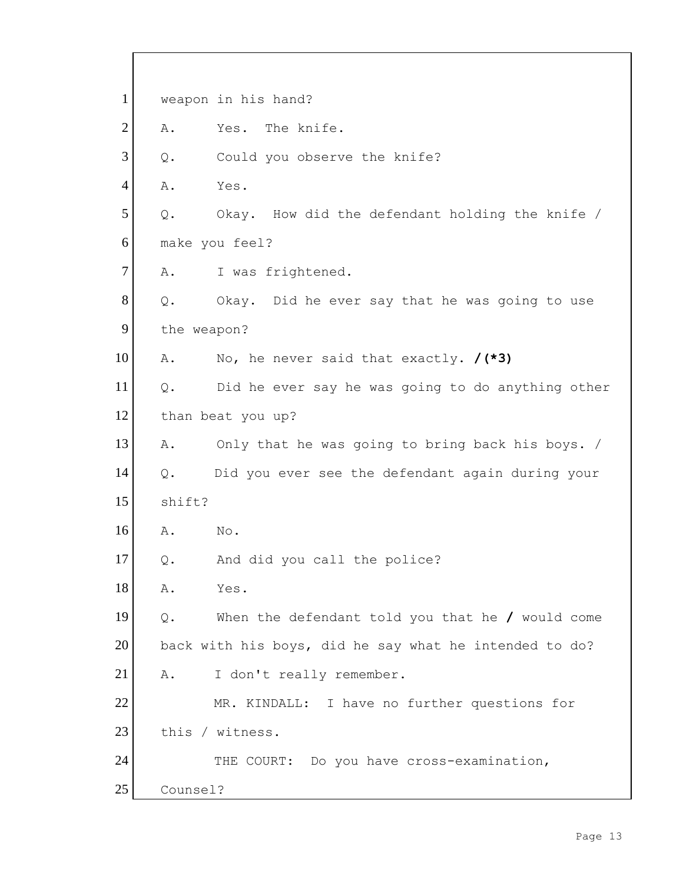1 weapon in his hand? 2 A. Yes. The knife. 3 Q. Could you observe the knife? 4 A. Yes.  $5$  Q. Okay. How did the defendant holding the knife / 6 make you feel? 7 A. I was frightened.  $8$  Q. Okay. Did he ever say that he was going to use 9 the weapon? 10 A. No, he never said that exactly. **/(\*3)** 11 | Q. Did he ever say he was going to do anything other 12 than beat you up? 13 A. Only that he was going to bring back his boys. / 14 Q. Did you ever see the defendant again during your 15 shift? 16 A. No. 17 Q. And did you call the police? 18 A. Yes. 19 Q. When the defendant told you that he **/** would come 20 back with his boys, did he say what he intended to do? 21 | A. I don't really remember. 22 MR. KINDALL: I have no further questions for 23 this / witness. 24 THE COURT: Do you have cross-examination, 25 Counsel?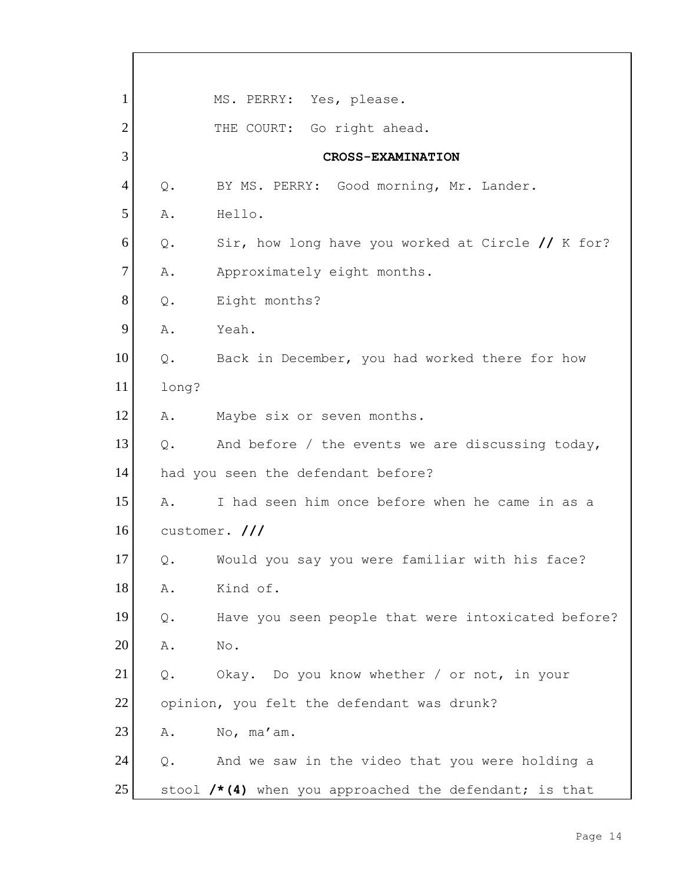1 MS. PERRY: Yes, please. 2 THE COURT: Go right ahead. 3 **CROSS-EXAMINATION** 4 Q. BY MS. PERRY: Good morning, Mr. Lander. 5 A. Hello. 6 Q. Sir, how long have you worked at Circle **//** K for? 7 A. Approximately eight months. 8 Q. Eight months? 9 A. Yeah. 10 | Q. Back in December, you had worked there for how 11 long? 12 A. Maybe six or seven months. 13  $\circ$ . And before / the events we are discussing today, 14 had you seen the defendant before? 15 A. I had seen him once before when he came in as a 16 customer. **///** 17 Q. Would you say you were familiar with his face? 18 A. Kind of. 19 Q. Have you seen people that were intoxicated before? 20 A. No. 21 Q. Okay. Do you know whether / or not, in your 22 opinion, you felt the defendant was drunk? 23 A. No, ma'am.  $24$  Q. And we saw in the video that you were holding a 25 stool **/\*(4)** when you approached the defendant; is that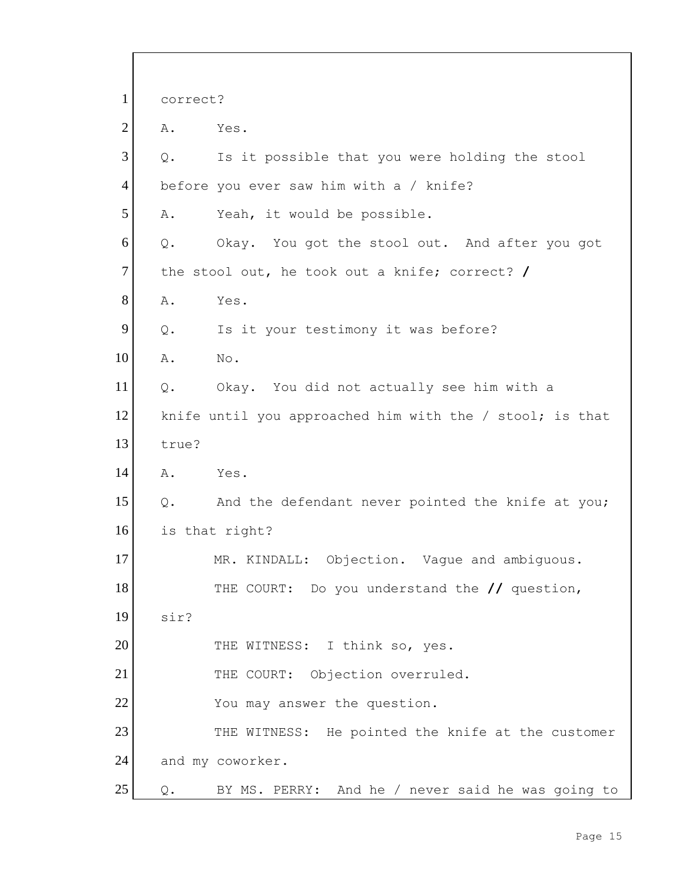| $\mathbf{1}$   | correct?                                                 |
|----------------|----------------------------------------------------------|
| $\overline{2}$ | Α.<br>Yes.                                               |
| 3              | Is it possible that you were holding the stool<br>Q.     |
| $\overline{4}$ | before you ever saw him with a / knife?                  |
| 5              | Α.<br>Yeah, it would be possible.                        |
| 6              | $Q$ .<br>Okay. You got the stool out. And after you got  |
| $\overline{7}$ | the stool out, he took out a knife; correct? /           |
| 8              | Α.<br>Yes.                                               |
| 9              | Q.<br>Is it your testimony it was before?                |
| 10             | Α.<br>No.                                                |
| 11             | Okay. You did not actually see him with a<br>$Q$ .       |
| 12             | knife until you approached him with the / stool; is that |
| 13             | true?                                                    |
| 14             | A.<br>Yes.                                               |
| 15             | And the defendant never pointed the knife at you;<br>Q.  |
| 16             | is that right?                                           |
| 17             | MR. KINDALL: Objection. Vague and ambiguous.             |
| 18             | THE COURT: Do you understand the // question,            |
| 19             | sir?                                                     |
| 20             | THE WITNESS: I think so, yes.                            |
| 21             | THE COURT: Objection overruled.                          |
| 22             | You may answer the question.                             |
| 23             | THE WITNESS: He pointed the knife at the customer        |
| 24             | and my coworker.                                         |
| 25             | BY MS. PERRY: And he / never said he was going to<br>Q.  |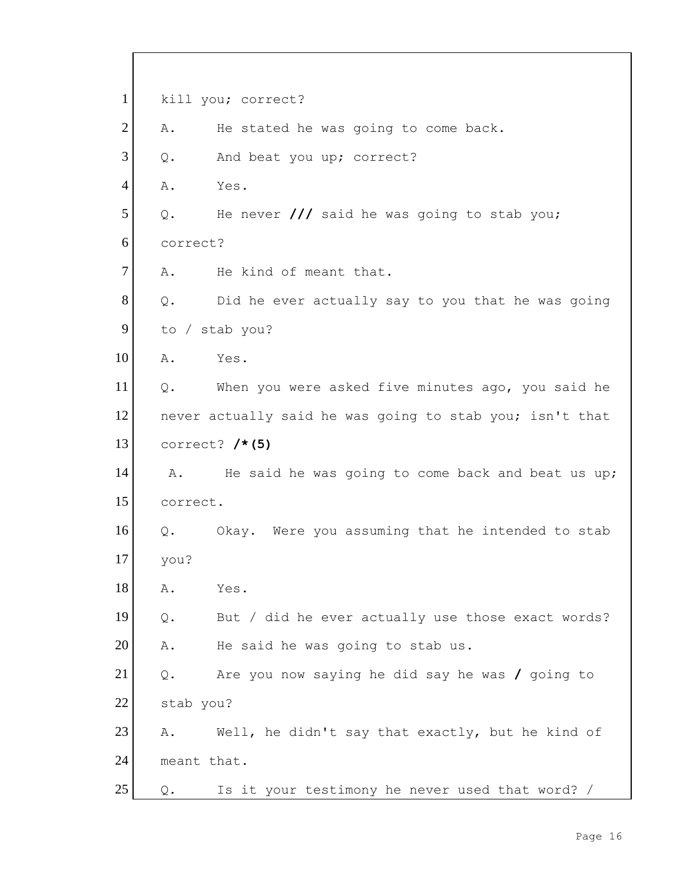| $\mathbf{1}$   |                | kill you; correct?                                       |
|----------------|----------------|----------------------------------------------------------|
| $\overline{2}$ | Α.             | He stated he was going to come back.                     |
| 3              | $Q$ .          | And beat you up; correct?                                |
| 4              | Α.             | Yes.                                                     |
| 5              | Q.             | He never $\frac{1}{1}$ said he was going to stab you;    |
| 6              | correct?       |                                                          |
| $\overline{7}$ | Α.             | He kind of meant that.                                   |
| 8              | Q.             | Did he ever actually say to you that he was going        |
| 9              |                | to / stab you?                                           |
| 10             | Α.             | Yes.                                                     |
| 11             | Q.             | When you were asked five minutes ago, you said he        |
| 12             |                | never actually said he was going to stab you; isn't that |
| 13             |                | correct? $/* (5)$                                        |
| 14             | Α.             | He said he was going to come back and beat us up;        |
| 15             | correct.       |                                                          |
| 16             | Q.             | Okay. Were you assuming that he intended to stab         |
| 17             | you?           |                                                          |
| 18             | Α.             | Yes.                                                     |
| 19             | $Q$ .          | But / did he ever actually use those exact words?        |
| 20             | Α.             | He said he was going to stab us.                         |
| 21             | $\mathsf{Q}$ . | Are you now saying he did say he was $\prime$ going to   |
| 22             | stab you?      |                                                          |
| 23             | Α.             | Well, he didn't say that exactly, but he kind of         |
| 24             | meant that.    |                                                          |
| 25             | Q.             | Is it your testimony he never used that word? /          |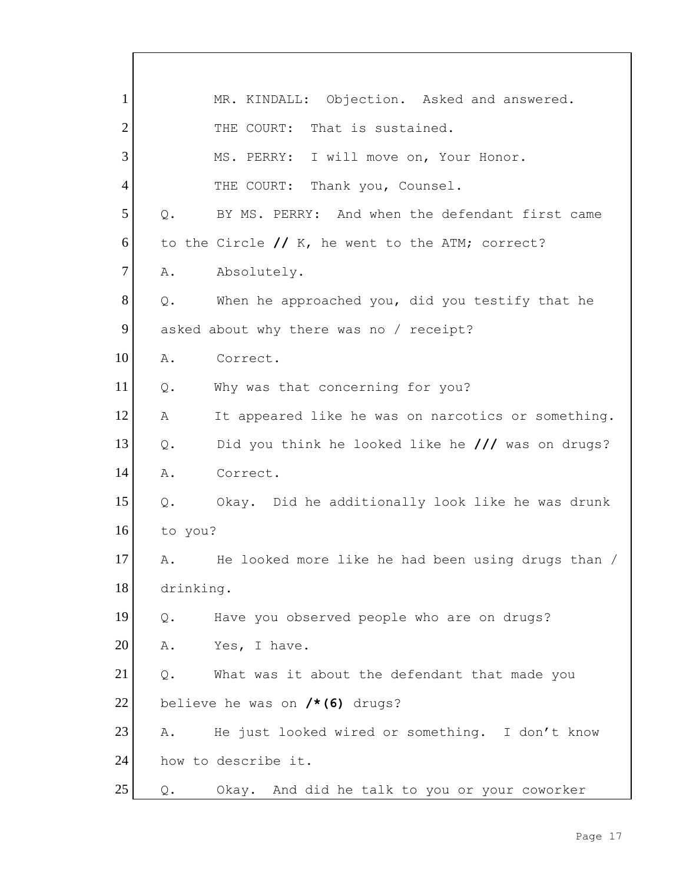1 | MR. KINDALL: Objection. Asked and answered. 2 THE COURT: That is sustained. 3 MS. PERRY: I will move on, Your Honor. 4 THE COURT: Thank you, Counsel. 5 Q. BY MS. PERRY: And when the defendant first came 6 to the Circle // K, he went to the ATM; correct? 7 A. Absolutely.  $8$  Q. When he approached you, did you testify that he 9 asked about why there was no / receipt? 10 A. Correct. 11 Q. Why was that concerning for you? 12 A It appeared like he was on narcotics or something. 13 Q. Did you think he looked like he **///** was on drugs? 14 A. Correct. 15 Q. Okay. Did he additionally look like he was drunk 16 to you? 17 A. He looked more like he had been using drugs than / 18 drinking. 19 Q. Have you observed people who are on drugs? 20 A. Yes, I have.  $21$  Q. What was it about the defendant that made you 22 believe he was on **/\*(6)** drugs? 23 A. He just looked wired or something. I don't know 24 how to describe it. 25 | Q. Okay. And did he talk to you or your coworker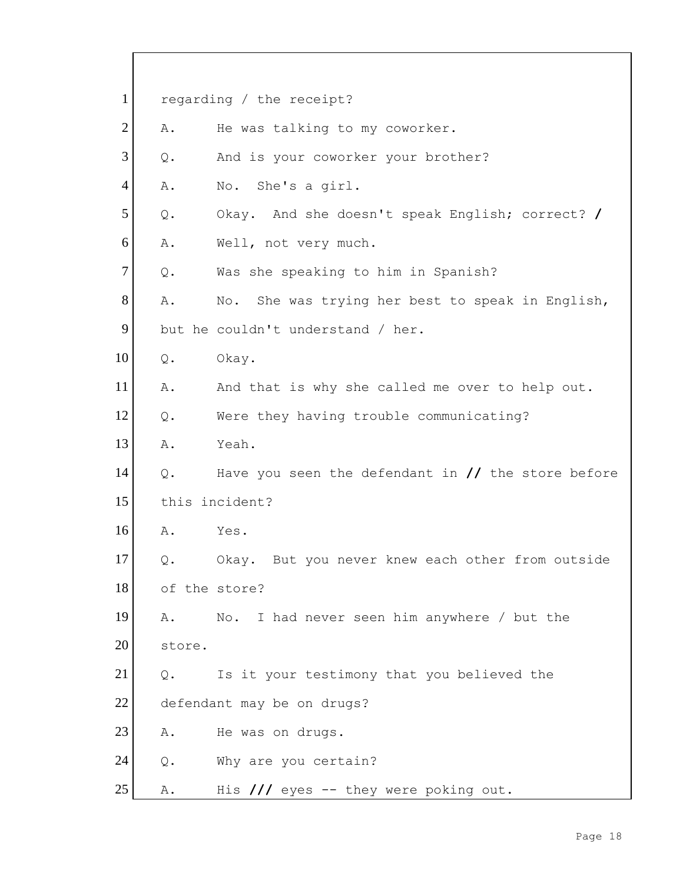| $\mathbf{1}$   |        | regarding / the receipt?                                             |
|----------------|--------|----------------------------------------------------------------------|
| $\overline{2}$ | Α.     | He was talking to my coworker.                                       |
| 3              | $Q$ .  | And is your coworker your brother?                                   |
| $\overline{4}$ | Α.     | No. She's a girl.                                                    |
| 5              | $Q$ .  | Okay. And she doesn't speak English; correct? /                      |
| 6              | Α.     | Well, not very much.                                                 |
| $\tau$         | $Q$ .  | Was she speaking to him in Spanish?                                  |
| 8              | Α.     | No. She was trying her best to speak in English,                     |
| 9              |        | but he couldn't understand / her.                                    |
| 10             | $Q$ .  | Okay.                                                                |
| 11             | Α.     | And that is why she called me over to help out.                      |
| 12             | $Q$ .  | Were they having trouble communicating?                              |
| 13             | Α.     | Yeah.                                                                |
| 14             | Q.     | Have you seen the defendant in $\frac{1}{\sqrt{2}}$ the store before |
| 15             |        | this incident?                                                       |
| 16             | Α.     | Yes.                                                                 |
| 17             | Q.     | Okay. But you never knew each other from outside                     |
| 18             |        | of the store?                                                        |
| 19             | Α.     | No. I had never seen him anywhere / but the                          |
| 20             | store. |                                                                      |
| 21             | Q.     | Is it your testimony that you believed the                           |
| 22             |        | defendant may be on drugs?                                           |
| 23             | Α.     | He was on drugs.                                                     |
| 24             | $Q$ .  | Why are you certain?                                                 |
| 25             | Α.     | His $//$ eyes -- they were poking out.                               |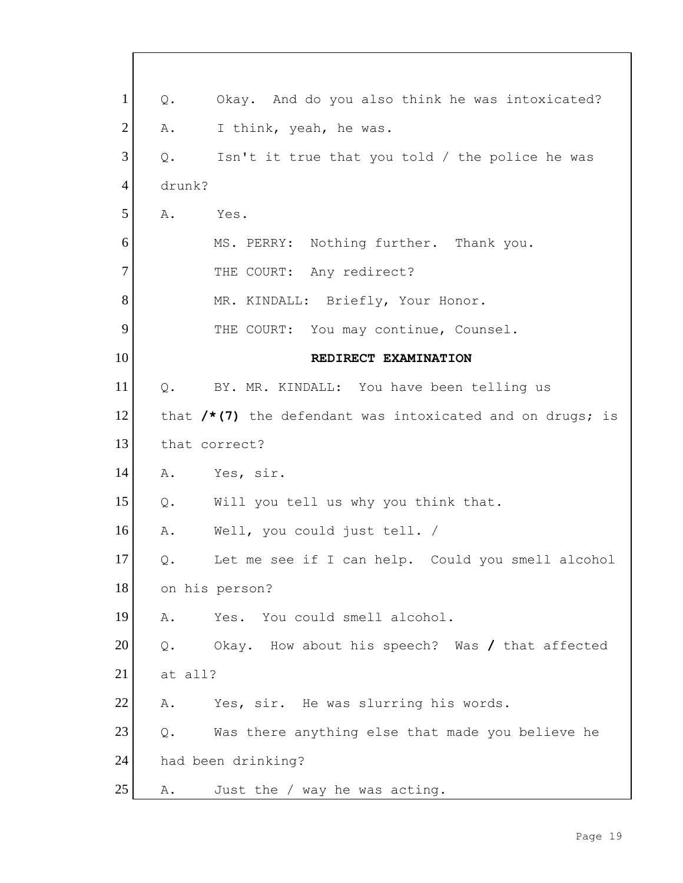| $\mathbf{1}$   | Okay. And do you also think he was intoxicated?<br>$Q$ .     |
|----------------|--------------------------------------------------------------|
| $\overline{2}$ | I think, yeah, he was.<br>Α.                                 |
| 3              | Q.<br>Isn't it true that you told / the police he was        |
| $\overline{4}$ | drunk?                                                       |
| 5              | Α.<br>Yes.                                                   |
| 6              | MS. PERRY: Nothing further. Thank you.                       |
| 7              | THE COURT: Any redirect?                                     |
| 8              | MR. KINDALL: Briefly, Your Honor.                            |
| 9              | THE COURT: You may continue, Counsel.                        |
| 10             | REDIRECT EXAMINATION                                         |
| 11             | Q.<br>BY. MR. KINDALL: You have been telling us              |
| 12             | that $/*$ (7) the defendant was intoxicated and on drugs; is |
| 13             | that correct?                                                |
| 14             | Α.<br>Yes, sir.                                              |
| 15             | Will you tell us why you think that.<br>Q.                   |
| 16             | Α.<br>Well, you could just tell. /                           |
| 17             | Let me see if I can help. Could you smell alcohol<br>Q.      |
| 18             | on his person?                                               |
| 19             | Yes. You could smell alcohol.<br>Α.                          |
| 20             | Okay. How about his speech? Was / that affected<br>$Q$ .     |
| 21             | at all?                                                      |
| 22             | Yes, sir. He was slurring his words.<br>Α.                   |
| 23             | Was there anything else that made you believe he<br>$Q$ .    |
| 24             | had been drinking?                                           |
| 25             | Just the / way he was acting.<br>Α.                          |

Г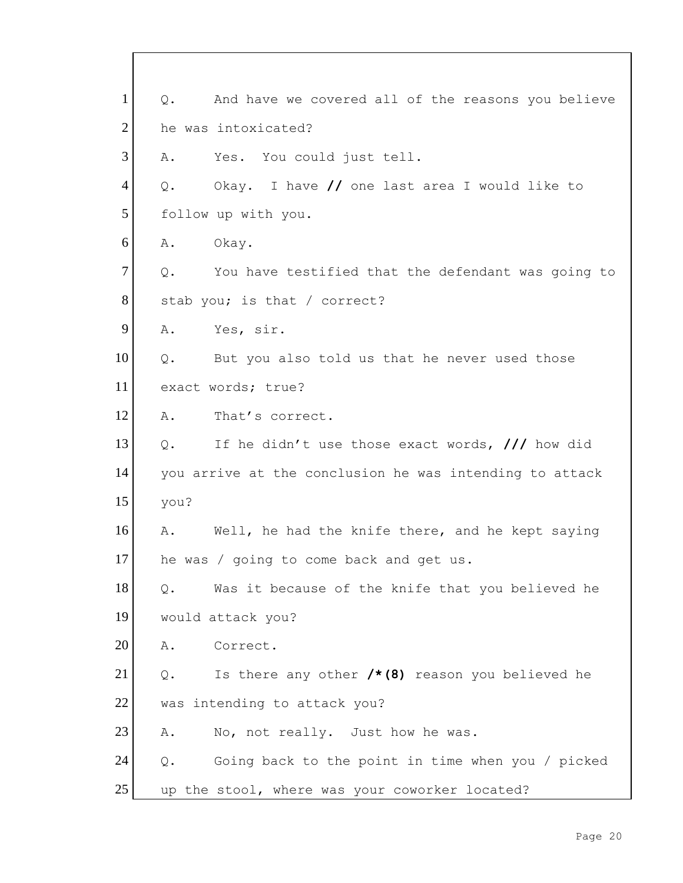| $\mathbf{1}$   | And have we covered all of the reasons you believe<br>Q.         |
|----------------|------------------------------------------------------------------|
| $\overline{2}$ | he was intoxicated?                                              |
| 3              | Yes. You could just tell.<br>Α.                                  |
| $\overline{4}$ | Okay. I have // one last area I would like to<br>Q.              |
| 5              | follow up with you.                                              |
| 6              | Okay.<br>Α.                                                      |
| $\tau$         | Q.<br>You have testified that the defendant was going to         |
| $8\,$          | stab you; is that / correct?                                     |
| 9              | Α.<br>Yes, sir.                                                  |
| 10             | Q.<br>But you also told us that he never used those              |
| 11             | exact words; true?                                               |
| 12             | Α.<br>That's correct.                                            |
| 13             | If he didn't use those exact words, /// how did<br>$Q_{\bullet}$ |
| 14             | you arrive at the conclusion he was intending to attack          |
| 15             | you?                                                             |
| 16             | A. Well, he had the knife there, and he kept saying              |
| 17             | he was / going to come back and get us.                          |
| 18             | Was it because of the knife that you believed he<br>$Q$ .        |
| 19             | would attack you?                                                |
| 20             | Α.<br>Correct.                                                   |
| 21             | Is there any other $/*(8)$ reason you believed he<br>Q.          |
| 22             | was intending to attack you?                                     |
| 23             | No, not really. Just how he was.<br>Α.                           |
| 24             | Going back to the point in time when you / picked<br>$Q$ .       |
| 25             | up the stool, where was your coworker located?                   |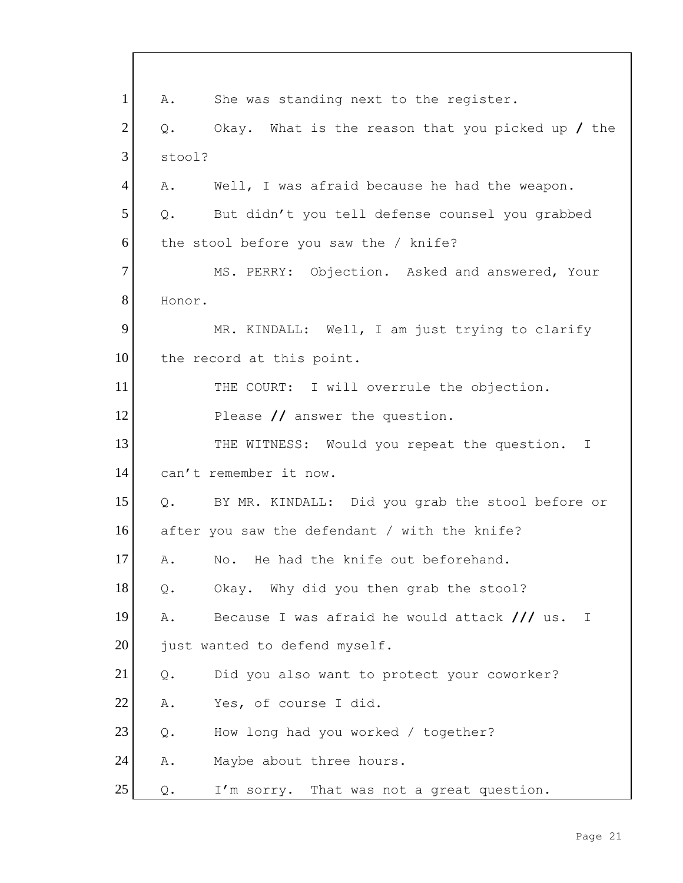| $\mathbf{1}$   | She was standing next to the register.<br>A.                      |
|----------------|-------------------------------------------------------------------|
| $\overline{2}$ | Okay. What is the reason that you picked up $/$ the<br>Q.         |
| 3              | stool?                                                            |
| $\overline{4}$ | Α.<br>Well, I was afraid because he had the weapon.               |
| 5              | But didn't you tell defense counsel you grabbed<br>Q.             |
| 6              | the stool before you saw the / knife?                             |
| $\tau$         | MS. PERRY: Objection. Asked and answered, Your                    |
| 8              | Honor.                                                            |
| 9              | MR. KINDALL: Well, I am just trying to clarify                    |
| 10             | the record at this point.                                         |
| 11             | THE COURT: I will overrule the objection.                         |
| 12             | Please // answer the question.                                    |
| 13             | THE WITNESS: Would you repeat the question. I                     |
| 14             | can't remember it now.                                            |
| 15             | BY MR. KINDALL: Did you grab the stool before or<br>$Q$ .         |
| 16             | after you saw the defendant / with the knife?                     |
| 17             | No. He had the knife out beforehand.<br>Α.                        |
| 18             | Okay. Why did you then grab the stool?<br>Q.                      |
| 19             | Because I was afraid he would attack $\frac{1}{1}$ us.<br>Α.<br>T |
| 20             | just wanted to defend myself.                                     |
| 21             | Did you also want to protect your coworker?<br>$\mathsf{Q}$ .     |
| 22             | Α.<br>Yes, of course I did.                                       |
| 23             | How long had you worked / together?<br>$Q$ .                      |
| 24             | Maybe about three hours.<br>Α.                                    |
| 25             | I'm sorry. That was not a great question.<br>Q.                   |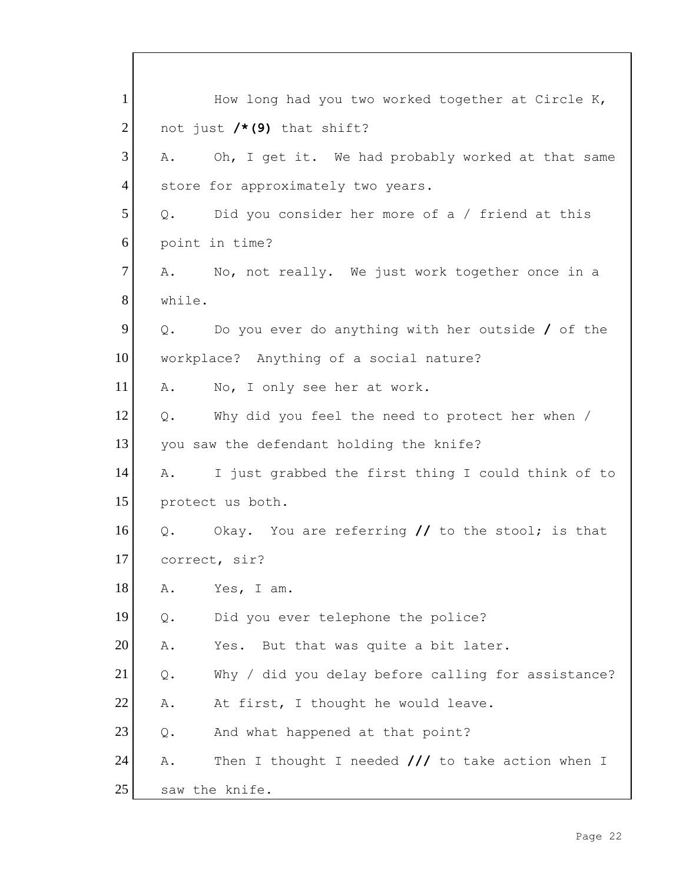| $\mathbf{1}$   | How long had you two worked together at Circle K,            |
|----------------|--------------------------------------------------------------|
| $\overline{2}$ | not just $/*(9)$ that shift?                                 |
| 3              | Oh, I get it. We had probably worked at that same<br>Α.      |
| $\overline{4}$ | store for approximately two years.                           |
| 5              | Did you consider her more of a / friend at this<br>Q.        |
| 6              | point in time?                                               |
| $7\phantom{.}$ | A. No, not really. We just work together once in a           |
| 8              | while.                                                       |
| 9              | Do you ever do anything with her outside $/$ of the<br>$Q$ . |
| 10             | workplace? Anything of a social nature?                      |
| 11             | No, I only see her at work.<br>A.                            |
| 12             | Why did you feel the need to protect her when /<br>Q.        |
| 13             | you saw the defendant holding the knife?                     |
| 14             | I just grabbed the first thing I could think of to<br>Α.     |
| 15             | protect us both.                                             |
| 16             | Q. Okay. You are referring // to the stool; is that          |
| 17             | correct, sir?                                                |
| 18             | Yes, I am.<br>Α.                                             |
| 19             | Did you ever telephone the police?<br>$Q$ .                  |
| 20             | Α.<br>Yes. But that was quite a bit later.                   |
| 21             | Why / did you delay before calling for assistance?<br>$Q$ .  |
| 22             | Α.<br>At first, I thought he would leave.                    |
| 23             | And what happened at that point?<br>$Q$ .                    |
| 24             | Then I thought I needed $//$ to take action when I<br>Α.     |
| 25             | saw the knife.                                               |